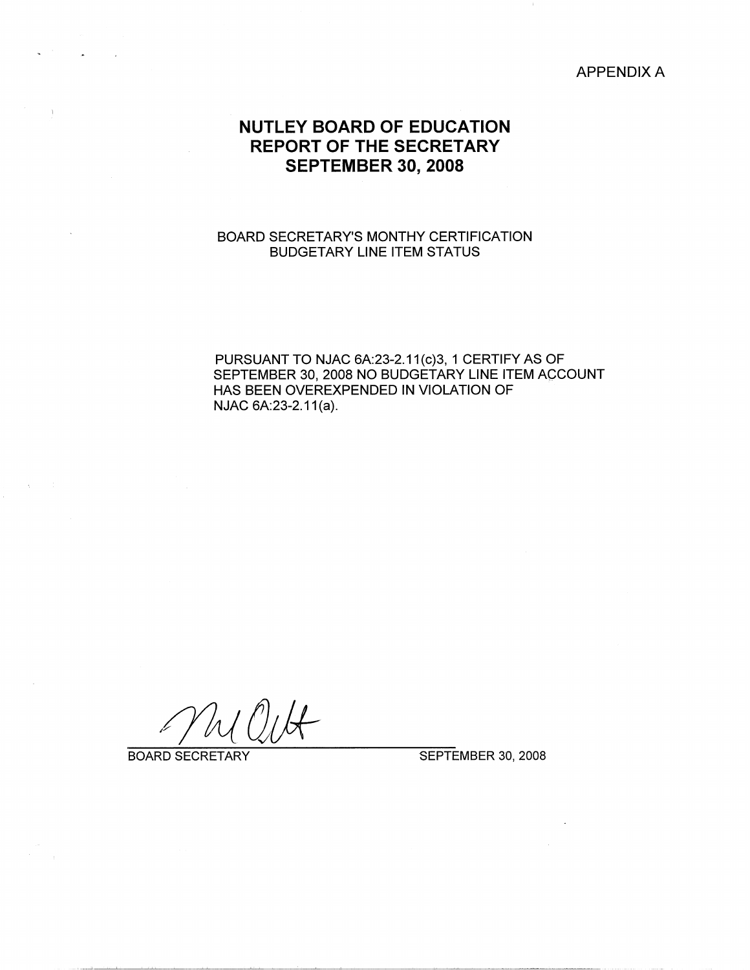APPENDIX A

# **NUTLEY BOARD OF EDUCATION REPORT OF THE SECRETARY SEPTEMBER 30, 2008**

### BOARD SECRETARY'S MONTHY CERTIFICATION BUDGETARY LINE ITEM STATUS

PURSUANT TO NJAC 6A:23-2.11(c)3, 1 CERTIFY AS OF SEPTEMBER 30, 2008 NO BUDGETARY LINE ITEM ACCOUNT HAS BEEN OVEREXPENDED IN VIOLATION OF NJAC 6A:23-2.11(a).

BOARD SECRETARY SEPTEMBER 30, 2008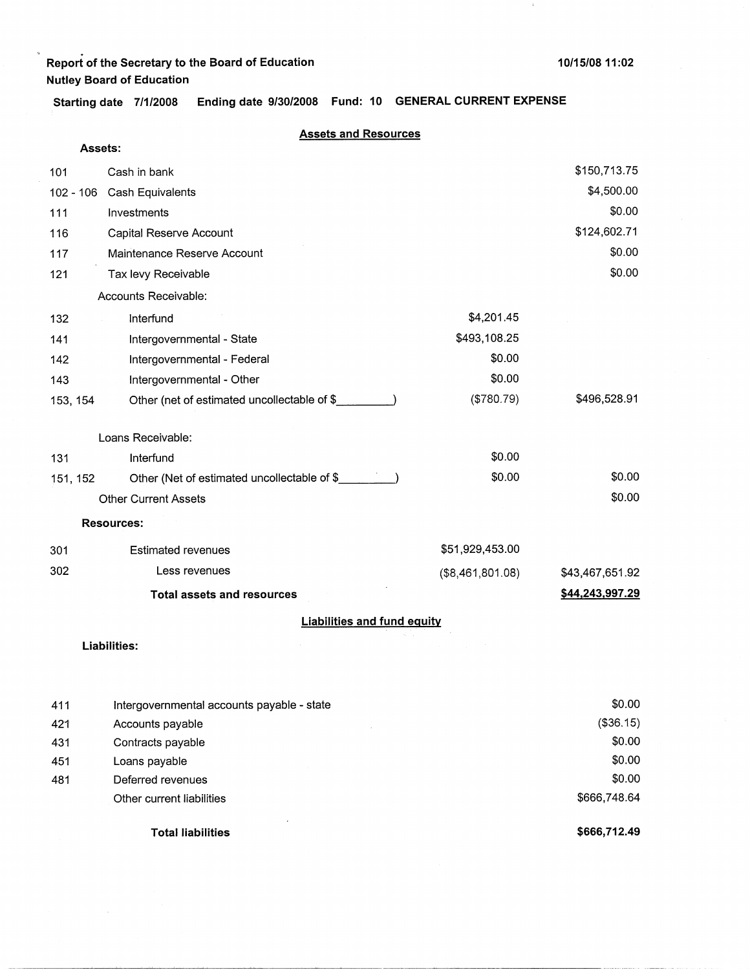**Starting date 7/1/2008 Ending date 9/30/2008 Fund: 10 GENERAL CURRENT EXPENSE** 

| Assets:  |                                              |                  |                 |
|----------|----------------------------------------------|------------------|-----------------|
| 101      | Cash in bank                                 |                  | \$150,713.75    |
|          | 102 - 106 Cash Equivalents                   |                  | \$4,500.00      |
| 111      | Investments                                  |                  | \$0.00          |
| 116      | Capital Reserve Account                      |                  | \$124,602.71    |
| 117      | Maintenance Reserve Account                  |                  | \$0.00          |
| 121      | Tax levy Receivable                          |                  | \$0.00          |
|          | Accounts Receivable:                         |                  |                 |
| 132      | Interfund                                    | \$4,201.45       |                 |
| 141      | Intergovernmental - State                    | \$493,108.25     |                 |
| 142      | Intergovernmental - Federal                  | \$0.00           |                 |
| 143      | Intergovernmental - Other                    | \$0.00           |                 |
| 153, 154 | Other (net of estimated uncollectable of \$  | (\$780.79)       | \$496,528.91    |
|          | Loans Receivable:                            |                  |                 |
| 131      | Interfund                                    | \$0.00           |                 |
| 151, 152 | Other (Net of estimated uncollectable of \$_ | \$0.00           | \$0.00          |
|          | <b>Other Current Assets</b>                  |                  | \$0.00          |
|          | <b>Resources:</b>                            |                  |                 |
| 301      | <b>Estimated revenues</b>                    | \$51,929,453.00  |                 |
| 302      | Less revenues                                | (\$8,461,801.08) | \$43,467,651.92 |
|          | <b>Total assets and resources</b>            |                  | \$44,243,997.29 |
|          | <b>Liabilities and fund equity</b>           |                  |                 |
|          | <b>Liabilities:</b>                          |                  |                 |

|     | <b>Total liabilities</b>                   | \$666,712.49 |
|-----|--------------------------------------------|--------------|
|     | Other current liabilities                  | \$666,748.64 |
| 481 | Deferred revenues                          | \$0.00       |
| 451 | Loans payable                              | \$0.00       |
| 431 | Contracts payable                          | \$0.00       |
| 421 | Accounts payable                           | (\$36.15)    |
| 411 | Intergovernmental accounts payable - state | \$0.00       |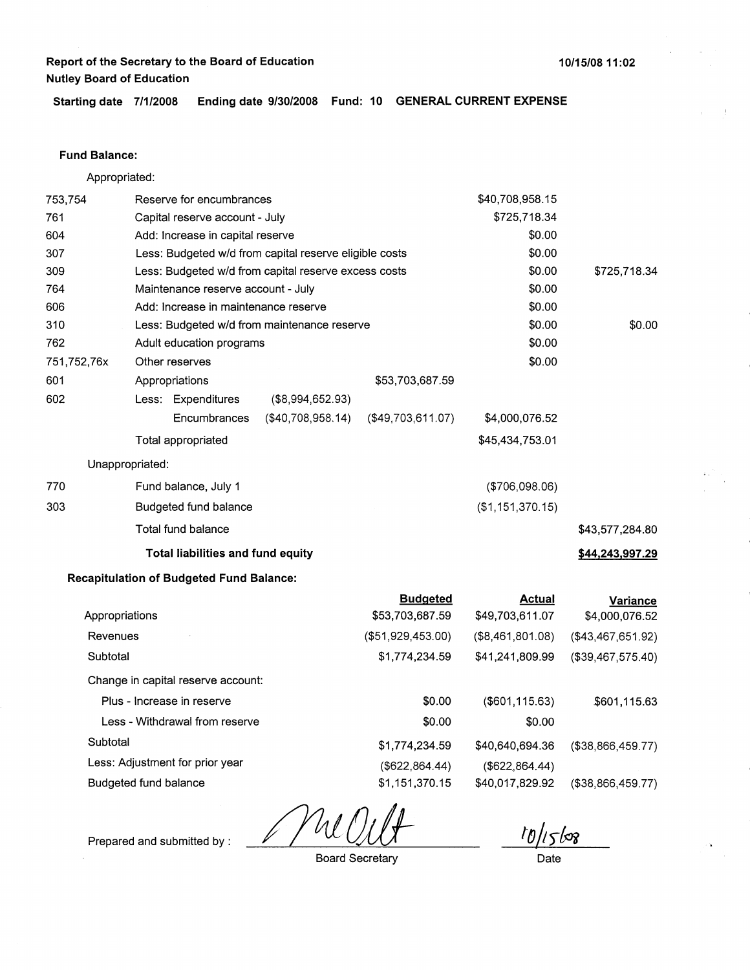**Starting date 7/1/2008 Ending date 9/30/2008 Fund: 10 GENERAL CURRENT EXPENSE** 

#### **Fund Balance:**

Appropriated:

| 753,754     | Reserve for encumbrances        |                                                 |                                                        |                   | \$40,708,958.15  |                   |
|-------------|---------------------------------|-------------------------------------------------|--------------------------------------------------------|-------------------|------------------|-------------------|
| 761         |                                 | Capital reserve account - July                  |                                                        |                   | \$725,718.34     |                   |
| 604         |                                 | Add: Increase in capital reserve                |                                                        |                   | \$0.00           |                   |
| 307         |                                 |                                                 | Less: Budgeted w/d from capital reserve eligible costs |                   | \$0.00           |                   |
| 309         |                                 |                                                 | Less: Budgeted w/d from capital reserve excess costs   |                   | \$0.00           | \$725,718.34      |
| 764         |                                 | Maintenance reserve account - July              |                                                        |                   | \$0.00           |                   |
| 606         |                                 | Add: Increase in maintenance reserve            |                                                        |                   | \$0.00           |                   |
| 310         |                                 |                                                 | Less: Budgeted w/d from maintenance reserve            |                   | \$0.00           | \$0.00            |
| 762         |                                 | Adult education programs                        |                                                        |                   | \$0.00           |                   |
| 751,752,76x | Other reserves                  |                                                 |                                                        |                   | \$0.00           |                   |
| 601         | Appropriations                  |                                                 |                                                        | \$53,703,687.59   |                  |                   |
| 602         |                                 | Less: Expenditures                              | (\$8,994,652.93)                                       |                   |                  |                   |
|             |                                 | Encumbrances                                    | (\$40,708,958.14)                                      | (\$49,703,611.07) | \$4,000,076.52   |                   |
|             | Total appropriated              |                                                 |                                                        |                   | \$45,434,753.01  |                   |
|             | Unappropriated:                 |                                                 |                                                        |                   |                  |                   |
| 770         |                                 | Fund balance, July 1                            |                                                        |                   | (\$706,098.06)   |                   |
| 303         |                                 | Budgeted fund balance                           |                                                        |                   | (\$1,151,370.15) |                   |
|             | Total fund balance              |                                                 |                                                        |                   |                  | \$43,577,284.80   |
|             |                                 | <b>Total liabilities and fund equity</b>        |                                                        |                   |                  | \$44,243,997.29   |
|             |                                 | <b>Recapitulation of Budgeted Fund Balance:</b> |                                                        |                   |                  |                   |
|             |                                 |                                                 |                                                        | <b>Budgeted</b>   | <b>Actual</b>    | <b>Variance</b>   |
|             | Appropriations                  |                                                 |                                                        | \$53,703,687.59   | \$49,703,611.07  | \$4,000,076.52    |
| Revenues    |                                 |                                                 |                                                        | (\$51,929,453.00) | (\$8,461,801.08) | (\$43,467,651.92) |
| Subtotal    |                                 |                                                 |                                                        | \$1,774,234.59    | \$41,241,809.99  | (\$39,467,575.40) |
|             |                                 | Change in capital reserve account:              |                                                        |                   |                  |                   |
|             | Plus - Increase in reserve      |                                                 |                                                        | \$0.00            | (\$601, 115.63)  | \$601,115.63      |
|             |                                 | Less - Withdrawal from reserve                  |                                                        | \$0.00            | \$0.00           |                   |
| Subtotal    |                                 |                                                 |                                                        | \$1,774,234.59    | \$40,640,694.36  | (\$38,866,459.77) |
|             | Less: Adjustment for prior year |                                                 |                                                        | (\$622, 864.44)   | (\$622, 864.44)  |                   |

Prepared and submitted by :

Budgeted fund balance

Board Secretary

\$1, 151,370.15

10/15/08

(\$38,866,459.77)

\$40,017,829.92

Date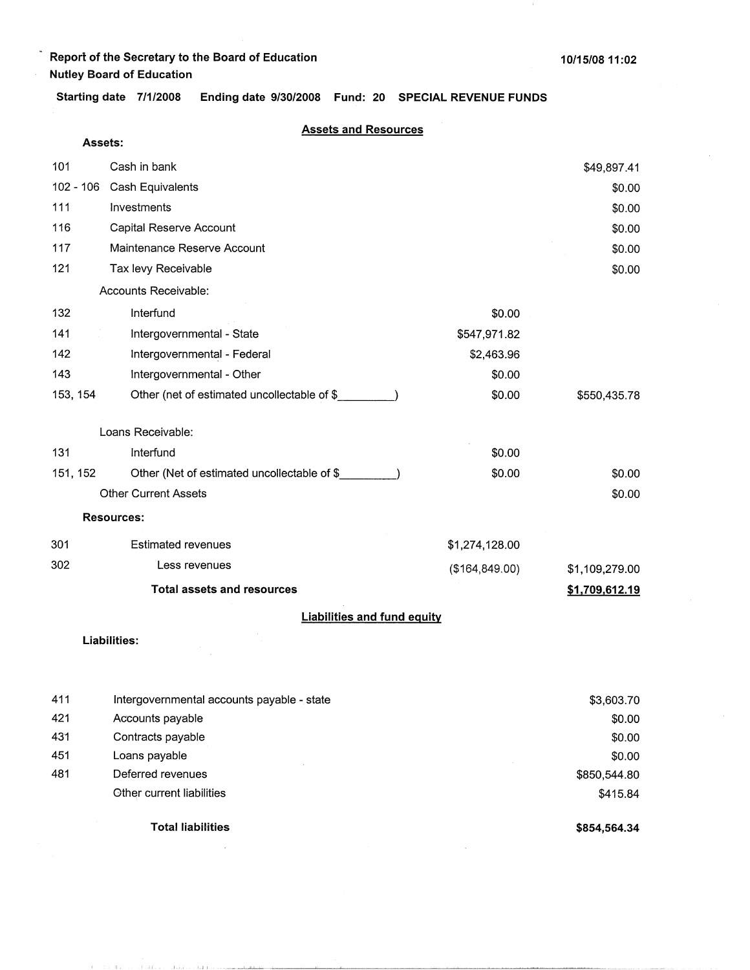**Assets:** 

**Starting date 7/1/2008 Ending date 9/30/2008 Fund: 20 SPECIAL REVENUE FUNDS** 

### **Assets and Resources**

| 101       | Cash in bank                                |                 | \$49,897.41    |
|-----------|---------------------------------------------|-----------------|----------------|
| 102 - 106 | Cash Equivalents                            |                 | \$0.00         |
| 111       | Investments                                 |                 | \$0.00         |
| 116       | Capital Reserve Account                     |                 | \$0.00         |
| 117       | Maintenance Reserve Account                 |                 | \$0.00         |
| 121       | Tax levy Receivable                         |                 | \$0.00         |
|           | Accounts Receivable:                        |                 |                |
| 132       | Interfund                                   | \$0.00          |                |
| 141       | Intergovernmental - State                   | \$547,971.82    |                |
| 142       | Intergovernmental - Federal                 | \$2,463.96      |                |
| 143       | Intergovernmental - Other                   | \$0.00          |                |
| 153, 154  | Other (net of estimated uncollectable of \$ | \$0.00          | \$550,435.78   |
|           | Loans Receivable:                           |                 |                |
| 131       | Interfund                                   | \$0.00          |                |
| 151, 152  | Other (Net of estimated uncollectable of \$ | \$0.00          | \$0.00         |
|           | <b>Other Current Assets</b>                 |                 | \$0.00         |
|           | <b>Resources:</b>                           |                 |                |
| 301       | <b>Estimated revenues</b>                   | \$1,274,128.00  |                |
| 302       | Less revenues                               | (\$164, 849.00) | \$1,109,279.00 |
|           | <b>Total assets and resources</b>           |                 | \$1,709,612.19 |
|           | <b>Liabilities and fund equity</b>          |                 |                |

**Liabilities:** 

THE CONSTRUCTION OF RECEIVED A REPORT OF THE RESIDENCE AND THE RELEASED FOR THE RELEASED FOR THE RELEASED FOR THE RELEASED FOR THE RELEASED FOR THE RELEASED FOR THE RELEASED FOR THE RELEASED FOR THE RELEASED FOR THE RELEAS

| 411 | Intergovernmental accounts payable - state | \$3,603.70   |
|-----|--------------------------------------------|--------------|
| 421 | Accounts payable                           | \$0.00       |
| 431 | Contracts payable                          | \$0.00       |
| 451 | Loans payable                              | \$0.00       |
| 481 | Deferred revenues                          | \$850,544.80 |
|     | <b>Other current liabilities</b>           | \$415.84     |
|     | <b>Total liabilities</b>                   | \$854,564.34 |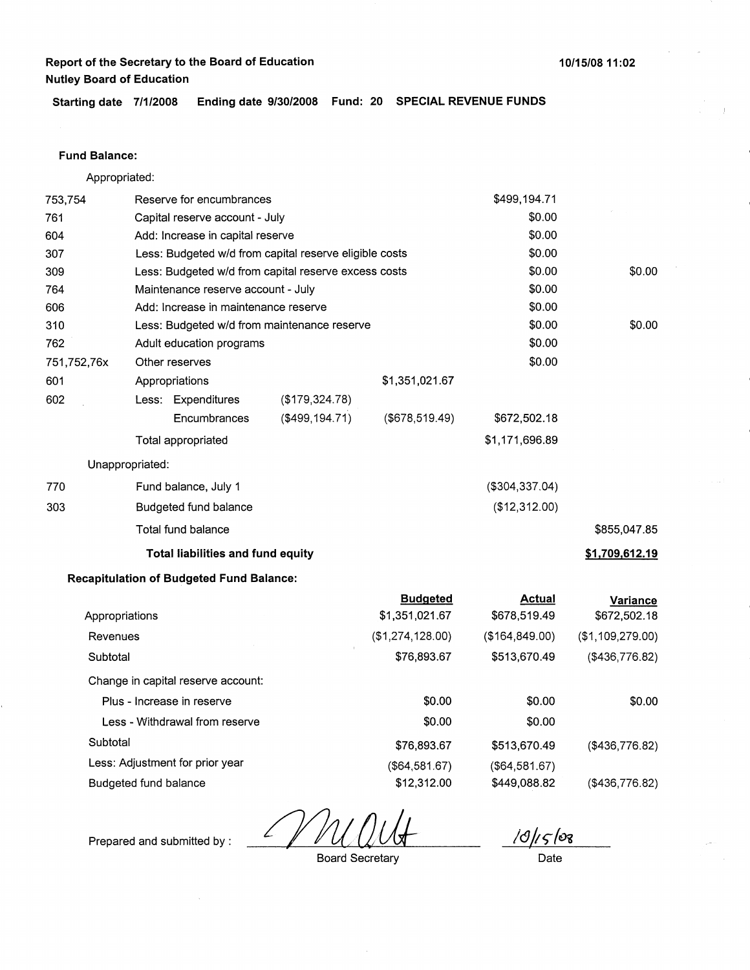**Starting date 7/1/2008 Ending date 9/30/2008 Fund: 20 SPECIAL REVENUE FUNDS** 

### **Fund Balance:**

Appropriated:

| 753,754     | Reserve for encumbrances |                                                        |                   |                                   | \$499,194.71                  |                          |
|-------------|--------------------------|--------------------------------------------------------|-------------------|-----------------------------------|-------------------------------|--------------------------|
| 761         |                          | Capital reserve account - July                         |                   |                                   | \$0.00                        |                          |
| 604         |                          | Add: Increase in capital reserve                       |                   |                                   | \$0.00                        |                          |
| 307         |                          | Less: Budgeted w/d from capital reserve eligible costs |                   |                                   | \$0.00                        |                          |
| 309         |                          | Less: Budgeted w/d from capital reserve excess costs   |                   |                                   | \$0.00                        | \$0.00                   |
| 764         |                          | Maintenance reserve account - July                     |                   |                                   | \$0.00                        |                          |
| 606         |                          | Add: Increase in maintenance reserve                   |                   |                                   | \$0.00                        |                          |
| 310         |                          | Less: Budgeted w/d from maintenance reserve            |                   |                                   | \$0.00                        | \$0.00                   |
| 762         |                          | Adult education programs                               |                   |                                   | \$0.00                        |                          |
| 751,752,76x |                          | Other reserves                                         |                   |                                   | \$0.00                        |                          |
| 601         |                          | Appropriations                                         |                   | \$1,351,021.67                    |                               |                          |
| 602         |                          | Less: Expenditures                                     | (\$179,324.78)    |                                   |                               |                          |
|             |                          | Encumbrances                                           | $($ \$499,194.71) | ( \$678, 519.49)                  | \$672,502.18                  |                          |
|             |                          | <b>Total appropriated</b>                              |                   |                                   | \$1,171,696.89                |                          |
|             | Unappropriated:          |                                                        |                   |                                   |                               |                          |
| 770         |                          | Fund balance, July 1                                   |                   |                                   | ( \$304, 337.04)              |                          |
| 303         |                          | Budgeted fund balance                                  |                   |                                   | (\$12,312.00)                 |                          |
|             |                          | Total fund balance                                     |                   |                                   |                               | \$855,047.85             |
|             |                          | Total liabilities and fund equity                      |                   |                                   |                               | \$1,709,612.19           |
|             |                          | <b>Recapitulation of Budgeted Fund Balance:</b>        |                   |                                   |                               |                          |
|             | Appropriations           |                                                        |                   | <b>Budgeted</b><br>\$1,351,021.67 | <b>Actual</b><br>\$678,519.49 | Variance<br>\$672,502.18 |
| Revenues    |                          |                                                        |                   | (\$1,274,128.00)                  | (\$164,849.00)                | (\$1,109,279.00)         |
| Subtotal    |                          |                                                        |                   | \$76,893.67                       | \$513,670.49                  | (\$436,776.82)           |
|             |                          | Change in capital reserve account:                     |                   |                                   |                               |                          |
|             |                          | Plus - Increase in reserve                             |                   | \$0.00                            | \$0.00                        | \$0.00                   |
|             |                          | Less - Withdrawal from reserve                         |                   | \$0.00                            | \$0.00                        |                          |
| Subtotal    |                          |                                                        |                   | \$76,893.67                       | \$513,670.49                  | (\$436,776.82)           |
|             |                          | Less: Adjustment for prior year                        |                   | (\$64,581.67)                     | (\$64,581.67)                 |                          |
|             | Budgeted fund balance    |                                                        |                   | \$12,312.00                       | \$449,088.82                  | (\$436,776.82)           |

Prepared and submitted by : 2000 Board Secretary

*/<9fr;{Oi* 

Board Secretary

Date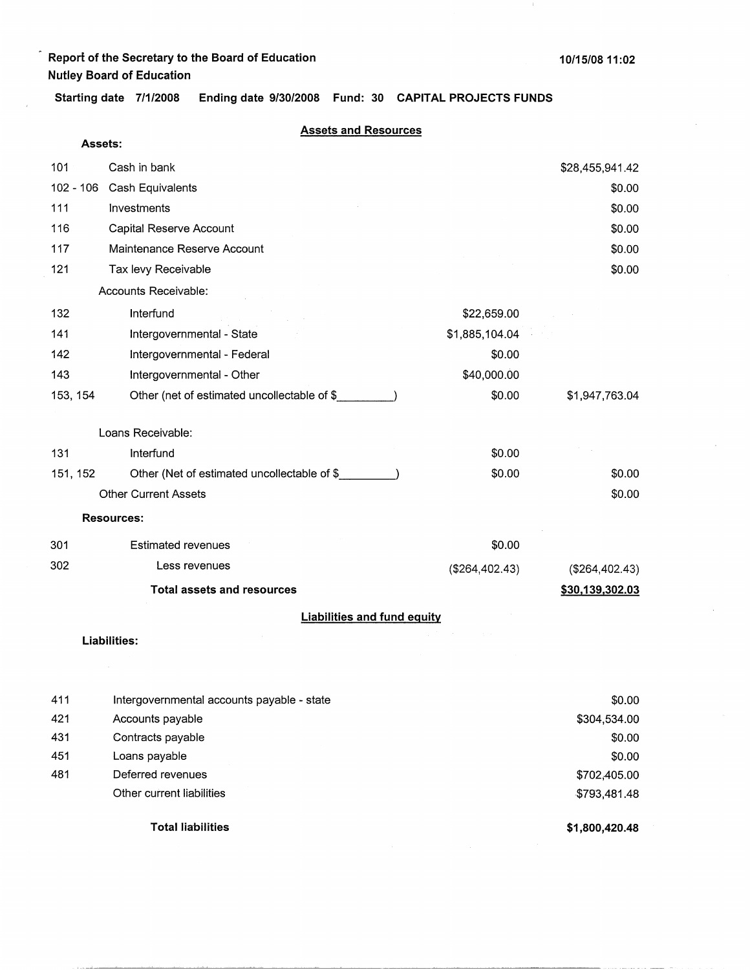**Assets:** 

**Starting date 7/1/2008 Ending date 9/30/2008 Fund: 30 CAPITAL PROJECTS FUNDS** 

| 101         | Cash in bank                                |                | \$28,455,941.42 |
|-------------|---------------------------------------------|----------------|-----------------|
| $102 - 106$ | Cash Equivalents                            |                | \$0.00          |
| 111         | Investments                                 |                | \$0.00          |
| 116         | Capital Reserve Account                     |                | \$0.00          |
| 117         | Maintenance Reserve Account                 |                | \$0.00          |
| 121         | Tax levy Receivable                         |                | \$0.00          |
|             | Accounts Receivable:                        |                |                 |
|             |                                             |                |                 |
| 132         | Interfund                                   | \$22,659.00    |                 |
| 141         | Intergovernmental - State                   | \$1,885,104.04 |                 |
| 142         | Intergovernmental - Federal                 | \$0.00         |                 |
| 143         | Intergovernmental - Other                   | \$40,000.00    |                 |
| 153, 154    | Other (net of estimated uncollectable of \$ | \$0.00         | \$1,947,763.04  |
|             |                                             |                |                 |
|             | Loans Receivable:                           |                |                 |
| 131         | Interfund                                   | \$0.00         |                 |
| 151, 152    | Other (Net of estimated uncollectable of \$ | \$0.00         | \$0.00          |
|             | <b>Other Current Assets</b>                 |                | \$0.00          |
|             | <b>Resources:</b>                           |                |                 |
| 301         | <b>Estimated revenues</b>                   | \$0.00         |                 |
| 302         | Less revenues                               | (\$264,402.43) | (\$264,402.43)  |
|             | <b>Total assets and resources</b>           |                | \$30,139,302.03 |
|             | <b>Liabilities and fund equity</b>          |                |                 |
|             | <b>Liabilities:</b>                         |                |                 |

|     | <b>Total liabilities</b>                   | \$1,800,420.48 |
|-----|--------------------------------------------|----------------|
|     | Other current liabilities                  | \$793,481.48   |
| 481 | Deferred revenues                          | \$702,405.00   |
| 451 | Loans payable                              | \$0.00         |
| 431 | Contracts payable                          | \$0.00         |
| 421 | Accounts payable                           | \$304,534.00   |
| 411 | Intergovernmental accounts payable - state | \$0.00         |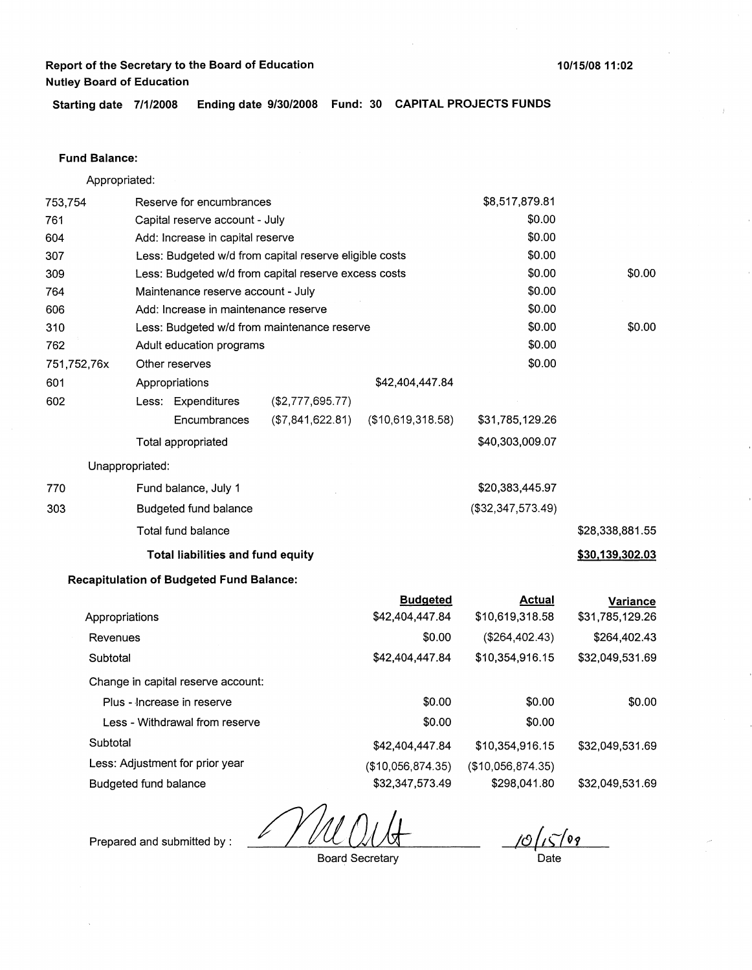**Starting date 7/1/2008 Ending date 9/30/2008 Fund: 30 CAPITAL PROJECTS FUNDS** 

#### **Fund Balance:**

Appropriated:

| 753,754        |                 | Reserve for encumbrances                        |                                                        | \$8,517,879.81    |                   |                 |
|----------------|-----------------|-------------------------------------------------|--------------------------------------------------------|-------------------|-------------------|-----------------|
| 761            |                 | Capital reserve account - July                  |                                                        | \$0.00            |                   |                 |
| 604            |                 | Add: Increase in capital reserve                |                                                        |                   | \$0.00            |                 |
| 307            |                 |                                                 | Less: Budgeted w/d from capital reserve eligible costs | \$0.00            |                   |                 |
| 309            |                 |                                                 | Less: Budgeted w/d from capital reserve excess costs   | \$0.00            | \$0.00            |                 |
| 764            |                 | Maintenance reserve account - July              |                                                        |                   | \$0.00            |                 |
| 606            |                 | Add: Increase in maintenance reserve            |                                                        |                   | \$0.00            |                 |
| 310            |                 |                                                 | Less: Budgeted w/d from maintenance reserve            |                   | \$0.00            | \$0.00          |
| 762            |                 | Adult education programs                        |                                                        |                   | \$0.00            |                 |
| 751,752,76x    |                 | Other reserves                                  |                                                        |                   | \$0.00            |                 |
| 601            |                 | Appropriations                                  |                                                        | \$42,404,447.84   |                   |                 |
| 602            |                 | Less: Expenditures                              | (\$2,777,695.77)                                       |                   |                   |                 |
|                |                 | Encumbrances                                    | (\$7,841,622.81)                                       | (\$10,619,318.58) | \$31,785,129.26   |                 |
|                |                 | Total appropriated                              |                                                        |                   | \$40,303,009.07   |                 |
|                | Unappropriated: |                                                 |                                                        |                   |                   |                 |
| 770            |                 | Fund balance, July 1                            |                                                        |                   | \$20,383,445.97   |                 |
| 303            |                 | Budgeted fund balance                           |                                                        |                   | (\$32,347,573.49) |                 |
|                |                 | Total fund balance                              |                                                        |                   |                   | \$28,338,881.55 |
|                |                 | <b>Total liabilities and fund equity</b>        |                                                        |                   |                   | \$30,139,302.03 |
|                |                 | <b>Recapitulation of Budgeted Fund Balance:</b> |                                                        |                   |                   |                 |
|                |                 |                                                 |                                                        | <b>Budgeted</b>   | <b>Actual</b>     | Variance        |
| Appropriations |                 |                                                 |                                                        | \$42,404,447.84   | \$10,619,318.58   | \$31,785,129.26 |
| Revenues       |                 |                                                 |                                                        | \$0.00            | (\$264,402.43)    | \$264,402.43    |
| Subtotal       |                 |                                                 |                                                        | \$42,404,447.84   | \$10,354,916.15   | \$32,049,531.69 |
|                |                 | Change in capital reserve account:              |                                                        |                   |                   |                 |

Plus - Increase in reserve Less - Withdrawal from reserve **Subtotal** Less: Adjustment for prior year Budgeted fund balance \$0.00 \$0.00 \$42,404,447.84 (\$10,056,874.35) \$32,347,573.49 \$0.00 \$0.00 \$10,354,916.15 (\$10,056,874.35) \$298,041.80 \$0.00 \$32,049,531.69 \$32,049,531.69

Prepared and submitted by :

10/151 09

Board Secretary

Date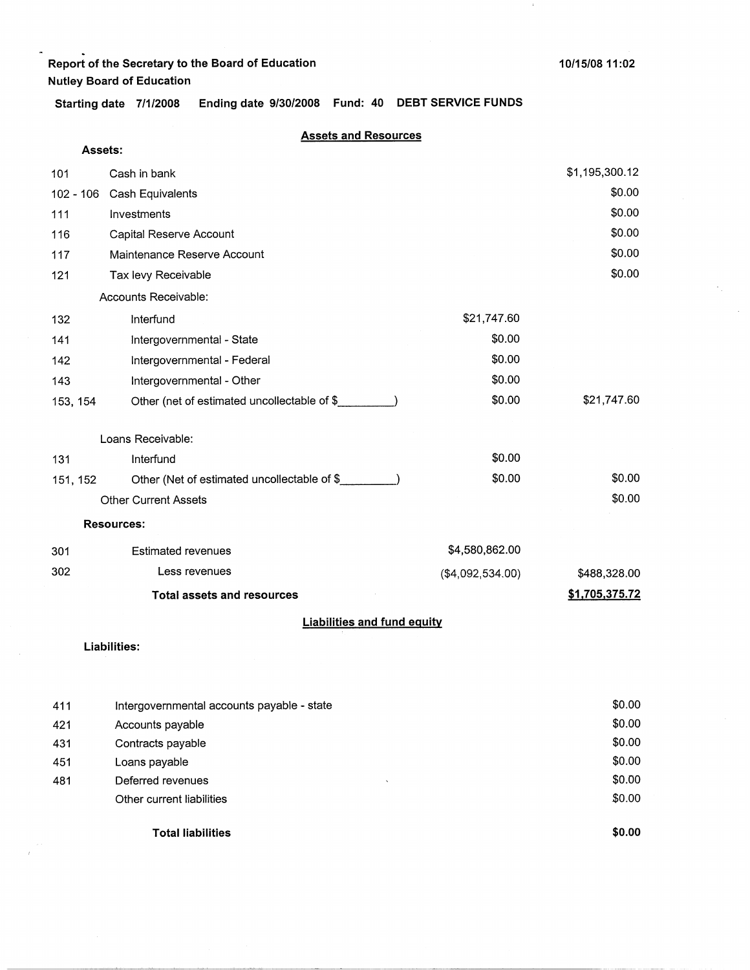$\bar{1}$ 

**Assets:** 

**Starting date 7/1/2008 Ending date 9/30/2008 Fund: 40 DEBT SERVICE FUNDS** 

### **Assets and Resources**

| 101         | Cash in bank                                |                  | \$1,195,300.12 |
|-------------|---------------------------------------------|------------------|----------------|
| $102 - 106$ | Cash Equivalents                            |                  | \$0.00         |
| 111         | Investments                                 |                  | \$0.00         |
| 116         | Capital Reserve Account                     |                  | \$0.00         |
| 117         | Maintenance Reserve Account                 |                  | \$0.00         |
| 121         | Tax levy Receivable                         |                  | \$0.00         |
|             | Accounts Receivable:                        |                  |                |
| 132         | Interfund                                   | \$21,747.60      |                |
| 141         | Intergovernmental - State                   | \$0.00           |                |
| 142         | Intergovernmental - Federal                 | \$0.00           |                |
| 143         | Intergovernmental - Other                   | \$0.00           |                |
| 153, 154    | Other (net of estimated uncollectable of \$ | \$0.00           | \$21,747.60    |
|             | Loans Receivable:                           |                  |                |
| 131         | Interfund                                   | \$0.00           |                |
| 151, 152    | Other (Net of estimated uncollectable of \$ | \$0.00           | \$0.00         |
|             | <b>Other Current Assets</b>                 |                  | \$0.00         |
|             | <b>Resources:</b>                           |                  |                |
| 301         | <b>Estimated revenues</b>                   | \$4,580,862.00   |                |
| 302         | Less revenues                               | (\$4,092,534.00) | \$488,328.00   |
|             | <b>Total assets and resources</b>           |                  | \$1,705,375.72 |
|             | <b>Liabilities and fund equity</b>          |                  |                |

#### **Liabilities:**

|     | <b>Total liabilities</b>                   | \$0.00 |
|-----|--------------------------------------------|--------|
|     | Other current liabilities                  | \$0.00 |
| 481 | Deferred revenues                          | \$0.00 |
| 451 | Loans payable                              | \$0.00 |
| 431 | Contracts payable                          | \$0.00 |
| 421 | Accounts payable                           | \$0.00 |
| 411 | Intergovernmental accounts payable - state | \$0.00 |
|     |                                            |        |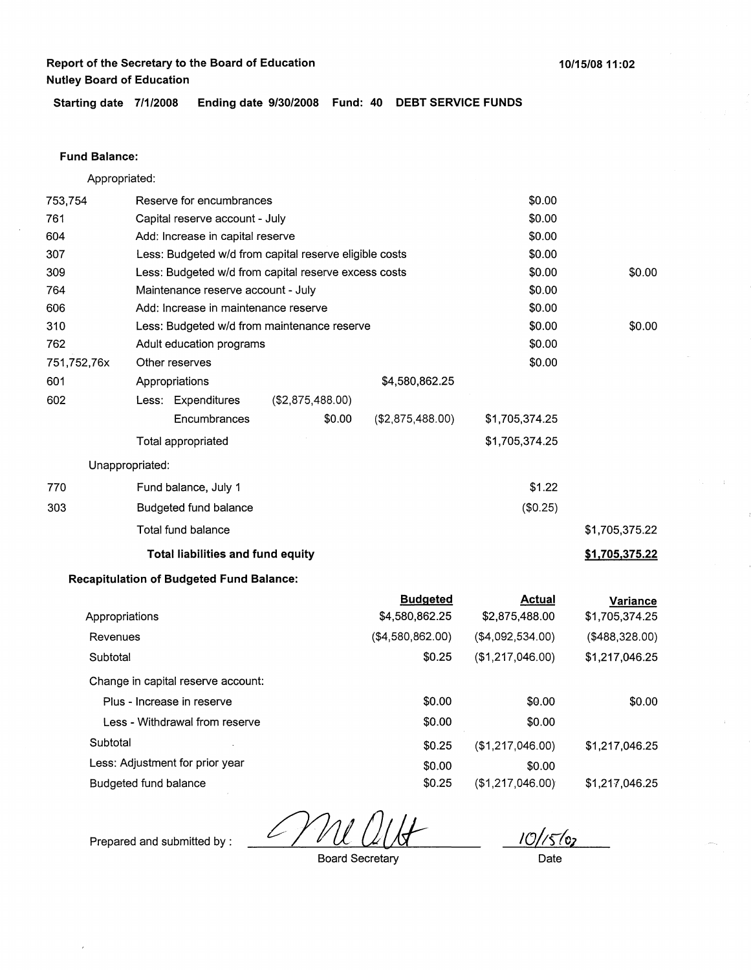**Starting date 7/1/2008 Ending date 9/30/2008 Fund: 40 DEBT SERVICE FUNDS** 

### **Fund Balance:**

Appropriated:

| 753,754     | Reserve for encumbrances |                                                 |                                                        |                                   | \$0.00                          |                                   |
|-------------|--------------------------|-------------------------------------------------|--------------------------------------------------------|-----------------------------------|---------------------------------|-----------------------------------|
| 761         |                          | Capital reserve account - July                  |                                                        | \$0.00                            |                                 |                                   |
| 604         |                          | Add: Increase in capital reserve                |                                                        | \$0.00                            |                                 |                                   |
| 307         |                          |                                                 | Less: Budgeted w/d from capital reserve eligible costs | \$0.00                            |                                 |                                   |
| 309         |                          |                                                 | Less: Budgeted w/d from capital reserve excess costs   |                                   | \$0.00                          | \$0.00                            |
| 764         |                          | Maintenance reserve account - July              |                                                        |                                   | \$0.00                          |                                   |
| 606         |                          | Add: Increase in maintenance reserve            |                                                        |                                   | \$0.00                          |                                   |
| 310         |                          |                                                 | Less: Budgeted w/d from maintenance reserve            |                                   | \$0.00                          | \$0.00                            |
| 762         |                          | Adult education programs                        |                                                        |                                   | \$0.00                          |                                   |
| 751,752,76x |                          | Other reserves                                  |                                                        |                                   | \$0.00                          |                                   |
| 601         |                          | Appropriations                                  |                                                        | \$4,580,862.25                    |                                 |                                   |
| 602         |                          | Less: Expenditures                              | (\$2,875,488.00)                                       |                                   |                                 |                                   |
|             |                          | Encumbrances                                    | \$0.00                                                 | (\$2,875,488.00)                  | \$1,705,374.25                  |                                   |
|             |                          | Total appropriated                              |                                                        |                                   | \$1,705,374.25                  |                                   |
|             | Unappropriated:          |                                                 |                                                        |                                   |                                 |                                   |
| 770         |                          | Fund balance, July 1                            |                                                        |                                   | \$1.22                          |                                   |
| 303         |                          | Budgeted fund balance                           |                                                        |                                   | (\$0.25)                        |                                   |
|             |                          | <b>Total fund balance</b>                       |                                                        |                                   |                                 | \$1,705,375.22                    |
|             |                          | Total liabilities and fund equity               |                                                        |                                   |                                 | \$1,705,375.22                    |
|             |                          | <b>Recapitulation of Budgeted Fund Balance:</b> |                                                        |                                   |                                 |                                   |
|             | Appropriations           |                                                 |                                                        | <b>Budgeted</b><br>\$4,580,862.25 | <b>Actual</b><br>\$2,875,488.00 | <b>Variance</b><br>\$1,705,374.25 |
| Revenues    |                          |                                                 |                                                        | (\$4,580,862.00)                  | (\$4,092,534.00)                | (\$488,328.00)                    |
| Subtotal    |                          |                                                 |                                                        | \$0.25                            | (\$1,217,046.00)                | \$1,217,046.25                    |
|             |                          | Change in capital reserve account:              |                                                        |                                   |                                 |                                   |
|             |                          | Plus - Increase in reserve                      |                                                        | \$0.00                            | \$0.00                          | \$0.00                            |
|             |                          | Less - Withdrawal from reserve                  |                                                        | \$0.00                            | \$0.00                          |                                   |
| Subtotal    |                          |                                                 |                                                        | \$0.25                            | (\$1,217,046.00)                | \$1,217,046.25                    |
|             |                          | Less: Adjustment for prior year                 |                                                        | \$0.00                            | \$0.00                          |                                   |
|             |                          | Budgeted fund balance                           |                                                        |                                   | (\$1,217,046.00)                | \$1,217,046.25                    |

 $10/(56)$ 

Prepared and submitted by :

Board Secretary

Date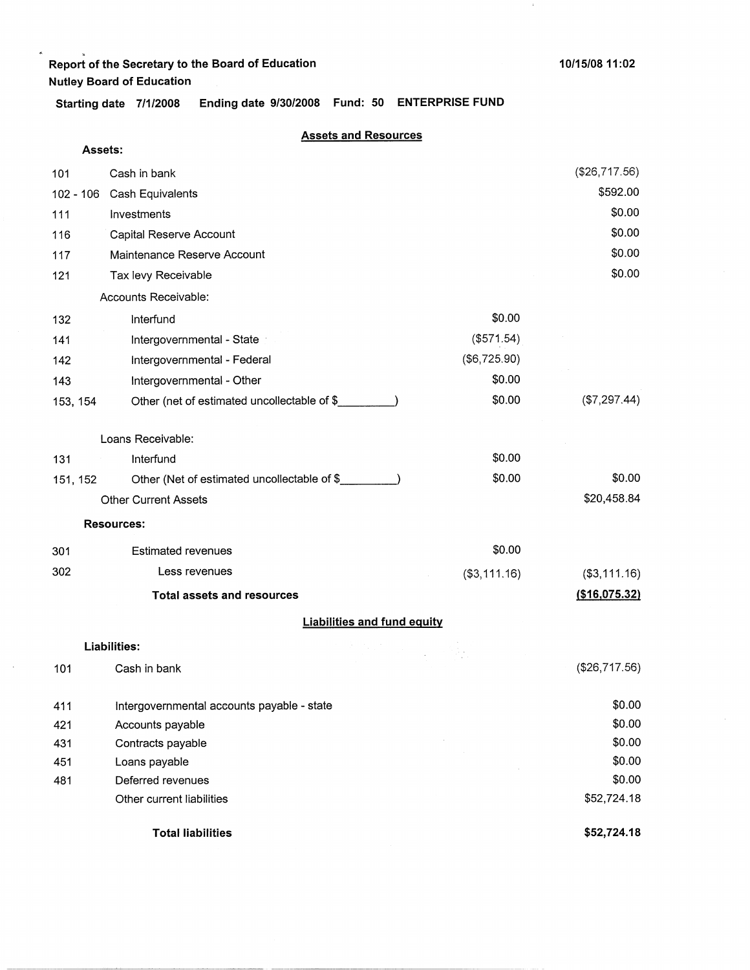$\cdot$ 

**Starting date 7/1/2008 Ending date 9/30/2008 Fund: 50 ENTERPRISE FUND** 

|          | Assets:                                     |                                                                                                                                                      |               |
|----------|---------------------------------------------|------------------------------------------------------------------------------------------------------------------------------------------------------|---------------|
| 101      | Cash in bank                                |                                                                                                                                                      | (\$26,717.56) |
|          | 102 - 106 Cash Equivalents                  |                                                                                                                                                      | \$592.00      |
| 111      | Investments                                 |                                                                                                                                                      | \$0.00        |
| 116      | Capital Reserve Account                     |                                                                                                                                                      | \$0.00        |
| 117      | Maintenance Reserve Account                 |                                                                                                                                                      | \$0.00        |
| 121      | Tax levy Receivable                         |                                                                                                                                                      | \$0.00        |
|          | Accounts Receivable:                        |                                                                                                                                                      |               |
| 132      | Interfund                                   | \$0.00                                                                                                                                               |               |
| 141      | Intergovernmental - State                   | (\$571.54)                                                                                                                                           |               |
| 142      | Intergovernmental - Federal                 | (\$6,725.90)                                                                                                                                         |               |
| 143      | Intergovernmental - Other                   | \$0.00                                                                                                                                               |               |
| 153, 154 | Other (net of estimated uncollectable of \$ | \$0.00                                                                                                                                               | (\$7,297.44)  |
|          |                                             |                                                                                                                                                      |               |
|          | Loans Receivable:                           |                                                                                                                                                      |               |
| 131      | Interfund                                   | \$0.00                                                                                                                                               |               |
| 151, 152 | Other (Net of estimated uncollectable of \$ | \$0.00                                                                                                                                               | \$0.00        |
|          | <b>Other Current Assets</b>                 |                                                                                                                                                      | \$20,458.84   |
|          | <b>Resources:</b>                           |                                                                                                                                                      |               |
| 301      | <b>Estimated revenues</b>                   | \$0.00                                                                                                                                               |               |
| 302      | Less revenues                               | ( \$3, 111.16)                                                                                                                                       | (\$3,111.16)  |
|          | <b>Total assets and resources</b>           |                                                                                                                                                      | (\$16,075.32) |
|          |                                             | <b>Liabilities and fund equity</b>                                                                                                                   |               |
|          | Liabilities:                                | $\frac{1}{2} \left( \frac{1}{2} \left( \frac{1}{2} \right) \right) \left( \frac{1}{2} \right) \left( \frac{1}{2} \right) \left( \frac{1}{2} \right)$ |               |
| 101      | Cash in bank                                |                                                                                                                                                      | (\$26,717.56) |
| 411      | Intergovernmental accounts payable - state  |                                                                                                                                                      | \$0.00        |
| 421      | Accounts payable                            |                                                                                                                                                      | \$0.00        |
| 431      | Contracts payable                           |                                                                                                                                                      | \$0.00        |
| 451      | Loans payable                               |                                                                                                                                                      | \$0.00        |
| 481      | Deferred revenues                           |                                                                                                                                                      | \$0.00        |
|          | Other current liabilities                   |                                                                                                                                                      | \$52,724.18   |
|          | <b>Total liabilities</b>                    |                                                                                                                                                      | \$52,724.18   |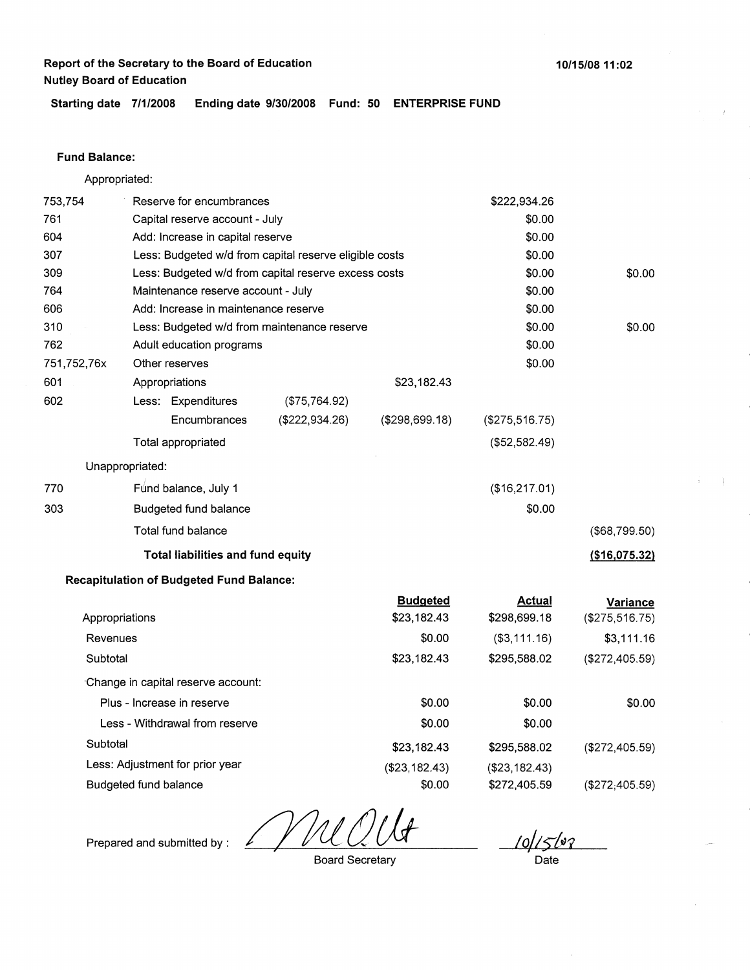**10/15/0811:02** 

**Starting date 7/1/2008 Ending date 9/30/2008 Fund: 50 ENTERPRISE FUND** 

### **Fund Balance:**

Appropriated:

| 753,754     |                       | Reserve for encumbrances                             |                                                        |                                | \$222,934.26                  |                                   |
|-------------|-----------------------|------------------------------------------------------|--------------------------------------------------------|--------------------------------|-------------------------------|-----------------------------------|
| 761         |                       | Capital reserve account - July                       |                                                        |                                | \$0.00                        |                                   |
| 604         |                       | Add: Increase in capital reserve                     |                                                        |                                | \$0.00                        |                                   |
| 307         |                       |                                                      | Less: Budgeted w/d from capital reserve eligible costs |                                | \$0.00                        |                                   |
| 309         |                       | Less: Budgeted w/d from capital reserve excess costs |                                                        | \$0.00                         | \$0.00                        |                                   |
| 764         |                       | Maintenance reserve account - July                   |                                                        |                                | \$0.00                        |                                   |
| 606         |                       | Add: Increase in maintenance reserve                 |                                                        |                                | \$0.00                        |                                   |
| 310         |                       |                                                      | Less: Budgeted w/d from maintenance reserve            |                                | \$0.00                        | \$0.00                            |
| 762         |                       | Adult education programs                             |                                                        |                                | \$0.00                        |                                   |
| 751,752,76x |                       | Other reserves                                       |                                                        |                                | \$0.00                        |                                   |
| 601         |                       | Appropriations                                       |                                                        | \$23,182.43                    |                               |                                   |
| 602         |                       | Less: Expenditures                                   | (\$75,764.92)                                          |                                |                               |                                   |
|             |                       | Encumbrances                                         | (\$222,934.26)                                         | (\$298,699.18)                 | (\$275,516.75)                |                                   |
|             |                       | Total appropriated                                   |                                                        |                                | (\$52,582.49)                 |                                   |
|             | Unappropriated:       |                                                      |                                                        |                                |                               |                                   |
| 770         |                       | Fund balance, July 1                                 |                                                        |                                | (\$16,217.01)                 |                                   |
| 303         |                       | Budgeted fund balance                                |                                                        |                                | \$0.00                        |                                   |
|             |                       | Total fund balance                                   |                                                        |                                |                               | (\$68,799.50)                     |
|             |                       | <b>Total liabilities and fund equity</b>             |                                                        |                                |                               | (\$16,075.32)                     |
|             |                       | <b>Recapitulation of Budgeted Fund Balance:</b>      |                                                        |                                |                               |                                   |
|             | Appropriations        |                                                      |                                                        | <b>Budgeted</b><br>\$23,182.43 | <b>Actual</b><br>\$298,699.18 | <b>Variance</b><br>(\$275,516.75) |
| Revenues    |                       |                                                      |                                                        | \$0.00                         | ( \$3, 111.16)                | \$3,111.16                        |
| Subtotal    |                       |                                                      |                                                        | \$23,182.43                    | \$295,588.02                  | (\$272,405.59)                    |
|             |                       | Change in capital reserve account:                   |                                                        |                                |                               |                                   |
|             |                       | Plus - Increase in reserve                           |                                                        | \$0.00                         | \$0.00                        | \$0.00                            |
|             |                       | Less - Withdrawal from reserve                       |                                                        | \$0.00                         | \$0.00                        |                                   |
| Subtotal    |                       |                                                      |                                                        | \$23,182.43                    | \$295,588.02                  | (\$272,405.59)                    |
|             |                       | Less: Adjustment for prior year                      |                                                        | (\$23,182.43)                  | (\$23,182.43)                 |                                   |
|             | Budgeted fund balance |                                                      |                                                        | \$0.00                         | \$272,405.59                  | (\$272,405.59)                    |

Mu

10/15br

Prepared and submitted by :

Board Secretary

Date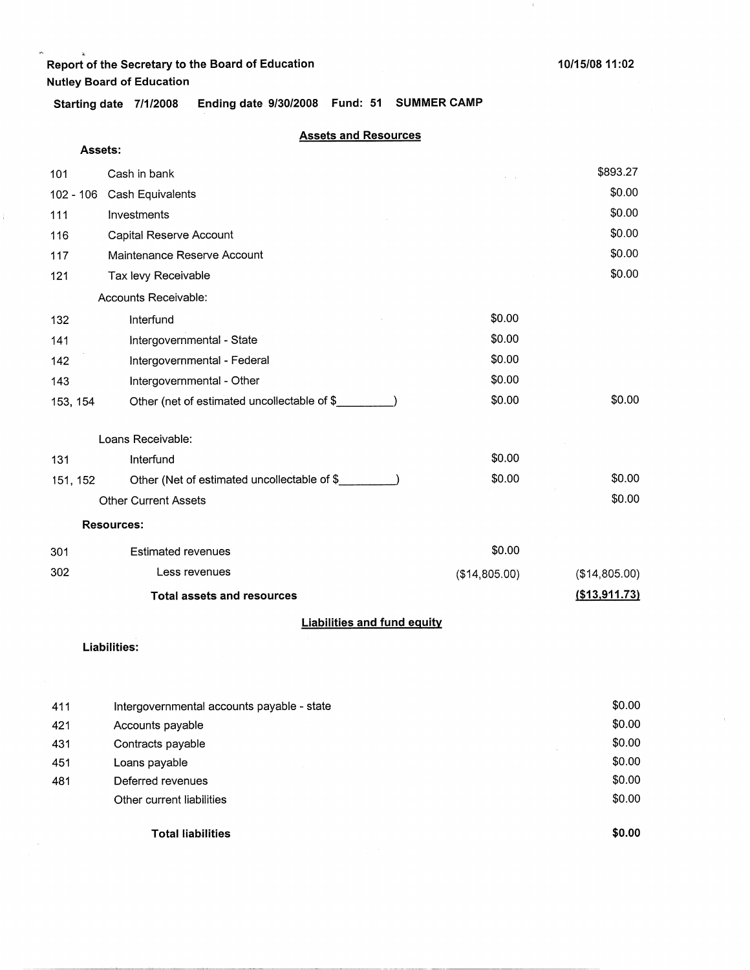$\alpha$ 

ţ.

 $\downarrow$ 

**Starting date 7/1/2008 Ending date 9/30/2008 Fund: 51 SUMMER CAMP** 

|  | <b>Assets and Resources</b> |  |  |  |
|--|-----------------------------|--|--|--|
|--|-----------------------------|--|--|--|

| Assets:   |                                              |               |               |
|-----------|----------------------------------------------|---------------|---------------|
| 101       | Cash in bank                                 |               | \$893.27      |
| 102 - 106 | Cash Equivalents                             |               | \$0.00        |
| 111       | Investments                                  |               | \$0.00        |
| 116       | Capital Reserve Account                      |               | \$0.00        |
| 117       | Maintenance Reserve Account                  |               | \$0.00        |
| 121       | Tax levy Receivable                          |               | \$0.00        |
|           | Accounts Receivable:                         |               |               |
| 132       | Interfund                                    | \$0.00        |               |
| 141       | Intergovernmental - State                    | \$0.00        |               |
| 142       | Intergovernmental - Federal                  | \$0.00        |               |
| 143       | Intergovernmental - Other                    | \$0.00        |               |
| 153, 154  | Other (net of estimated uncollectable of \$_ | \$0.00        | \$0.00        |
|           | Loans Receivable:                            |               |               |
| 131       | Interfund                                    | \$0.00        |               |
| 151, 152  | Other (Net of estimated uncollectable of \$  | \$0.00        | \$0.00        |
|           | <b>Other Current Assets</b>                  |               | \$0.00        |
|           | <b>Resources:</b>                            |               |               |
| 301       | <b>Estimated revenues</b>                    | \$0.00        |               |
| 302       | Less revenues                                | (\$14,805.00) | (\$14,805.00) |
|           | <b>Total assets and resources</b>            |               | (\$13,911.73) |
|           | <b>Liabilities and fund equity</b>           |               |               |
|           | <b>Liabilities:</b>                          |               |               |

|     | <b>Total liabilities</b>                   | \$0.00 |
|-----|--------------------------------------------|--------|
|     | Other current liabilities                  | \$0.00 |
| 481 | Deferred revenues                          | \$0.00 |
| 451 | Loans payable                              | \$0.00 |
| 431 | Contracts payable                          | \$0.00 |
| 421 | Accounts payable                           | \$0.00 |
| 411 | Intergovernmental accounts payable - state | \$0.00 |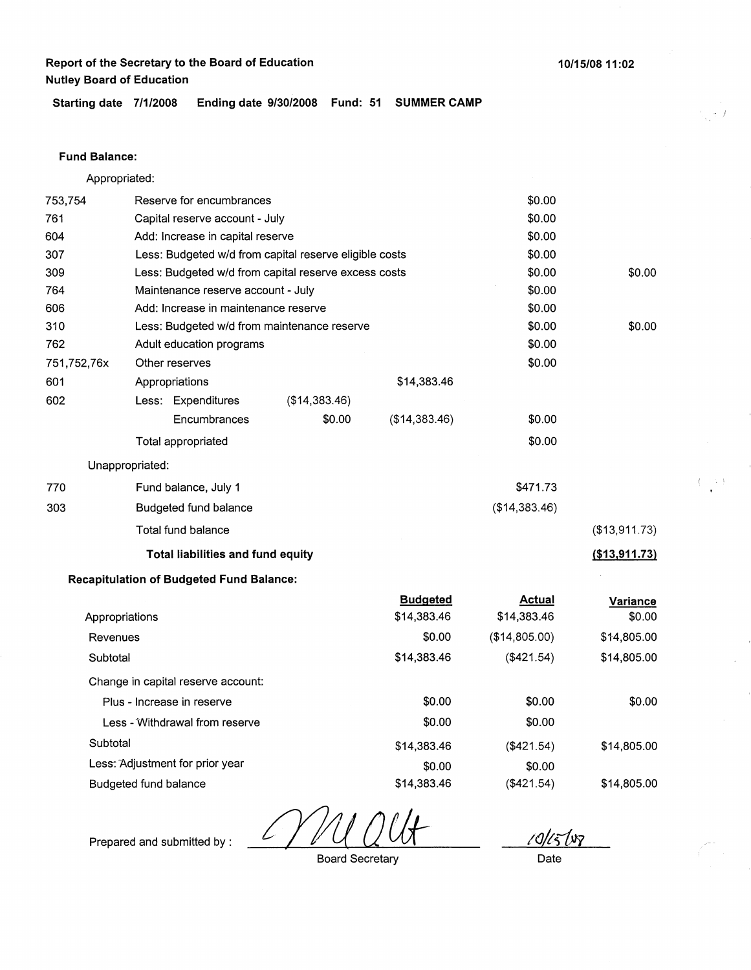**Starting date 7/1/2008 Ending date 9/30/2008 Fund: 51 SUMMER CAMP** 

#### **Fund Balance:**

|             | Appropriated:                                        |                                                        |               |               |                  |
|-------------|------------------------------------------------------|--------------------------------------------------------|---------------|---------------|------------------|
| 753,754     | Reserve for encumbrances                             |                                                        |               | \$0.00        |                  |
| 761         | Capital reserve account - July                       |                                                        |               | \$0.00        |                  |
| 604         | Add: Increase in capital reserve                     |                                                        |               | \$0.00        |                  |
| 307         |                                                      | Less: Budgeted w/d from capital reserve eligible costs |               |               |                  |
| 309         | Less: Budgeted w/d from capital reserve excess costs |                                                        |               | \$0.00        | \$0.00           |
| 764         | Maintenance reserve account - July                   |                                                        |               | \$0.00        |                  |
| 606         | Add: Increase in maintenance reserve                 |                                                        |               | \$0.00        |                  |
| 310         | Less: Budgeted w/d from maintenance reserve          |                                                        |               | \$0.00        | \$0.00           |
| 762         | Adult education programs                             |                                                        |               | \$0.00        |                  |
| 751,752,76x | Other reserves                                       |                                                        |               | \$0.00        |                  |
| 601         | Appropriations                                       |                                                        | \$14,383.46   |               |                  |
| 602         | Less: Expenditures                                   | (\$14,383.46)                                          |               |               |                  |
|             | Encumbrances                                         | \$0.00                                                 | (\$14,383.46) | \$0.00        |                  |
|             | Total appropriated                                   |                                                        |               | \$0.00        |                  |
|             | Unappropriated:                                      |                                                        |               |               |                  |
| 770         | Fund balance, July 1                                 |                                                        |               | \$471.73      |                  |
| 303         | Budgeted fund balance                                |                                                        |               | (\$14,383.46) |                  |
|             | Total fund balance                                   |                                                        |               |               | (\$13,911.73)    |
|             | <b>Total liabilities and fund equity</b>             |                                                        |               |               | $($ \$13,911.73) |

### **Recapitulation of Budgeted Fund Balance:**

|                                    | <b>Budgeted</b> | <b>Actual</b> | Variance    |
|------------------------------------|-----------------|---------------|-------------|
| Appropriations                     | \$14,383.46     | \$14,383.46   | \$0.00      |
| Revenues                           | \$0.00          | (\$14,805.00) | \$14,805.00 |
| Subtotal                           | \$14,383.46     | (\$421.54)    | \$14,805.00 |
| Change in capital reserve account: |                 |               |             |
| Plus - Increase in reserve         | \$0.00          | \$0.00        | \$0.00      |
| Less - Withdrawal from reserve     | \$0.00          | \$0.00        |             |
| Subtotal                           | \$14,383.46     | (\$421.54)    | \$14,805.00 |
| Less: Adjustment for prior year    | \$0.00          | \$0.00        |             |
| Budgeted fund balance              | \$14,383.46     | (\$421.54)    | \$14,805.00 |

L

*10/t;;fn* 

Prepared and submitted by :

Board Secretary

Date

. *)*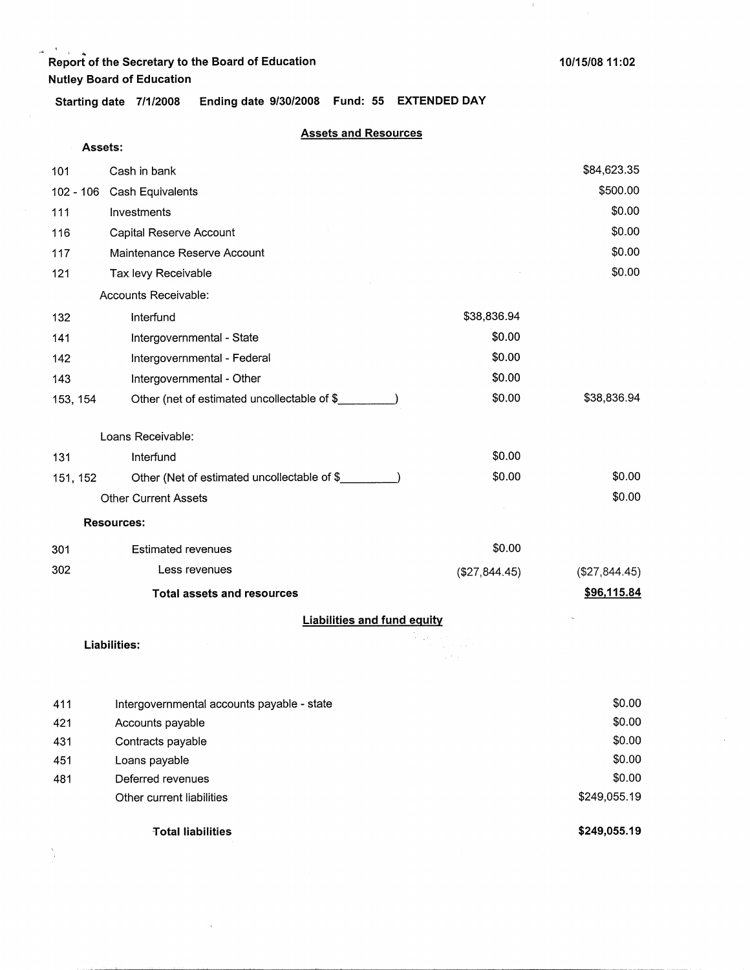Ŋ.

 $\pm$ 

**Starting date 7/1/2008 Ending date 9/30/2008 Fund: 55 EXTENDED DAY** 

| Assets:  |                                             |               |               |  |
|----------|---------------------------------------------|---------------|---------------|--|
| 101      | Cash in bank                                |               | \$84,623.35   |  |
|          | 102 - 106 Cash Equivalents                  |               | \$500.00      |  |
| 111      | Investments                                 |               | \$0.00        |  |
| 116      | Capital Reserve Account                     |               | \$0.00        |  |
| 117      | Maintenance Reserve Account                 |               | \$0.00        |  |
| 121      | Tax levy Receivable                         |               | \$0.00        |  |
|          | Accounts Receivable:                        |               |               |  |
| 132      | Interfund                                   | \$38,836.94   |               |  |
| 141      | Intergovernmental - State                   | \$0.00        |               |  |
| 142      | Intergovernmental - Federal                 | \$0.00        |               |  |
| 143      | Intergovernmental - Other                   | \$0.00        |               |  |
| 153, 154 | Other (net of estimated uncollectable of \$ | \$0.00        | \$38,836.94   |  |
|          |                                             |               |               |  |
|          | Loans Receivable:                           |               |               |  |
| 131      | Interfund                                   | \$0.00        |               |  |
| 151, 152 | Other (Net of estimated uncollectable of \$ | \$0.00        | \$0.00        |  |
|          | <b>Other Current Assets</b>                 |               | \$0.00        |  |
|          | <b>Resources:</b>                           |               |               |  |
| 301      | <b>Estimated revenues</b>                   | \$0.00        |               |  |
| 302      | Less revenues                               | (\$27,844.45) | (\$27,844.45) |  |
|          | <b>Total assets and resources</b>           |               | \$96,115.84   |  |
|          | <b>Liabilities and fund equity</b>          |               |               |  |
|          | <b>Liabilities:</b>                         |               |               |  |
|          |                                             |               |               |  |
|          |                                             |               |               |  |

|     | <b>Total liabilities</b>                   | \$249,055.19 |
|-----|--------------------------------------------|--------------|
|     | Other current liabilities                  | \$249,055.19 |
| 481 | Deferred revenues                          | \$0.00       |
| 451 | Loans payable                              | \$0.00       |
| 431 | Contracts payable                          | \$0.00       |
| 421 | Accounts payable                           | \$0.00       |
| 411 | Intergovernmental accounts payable - state | \$0.00       |